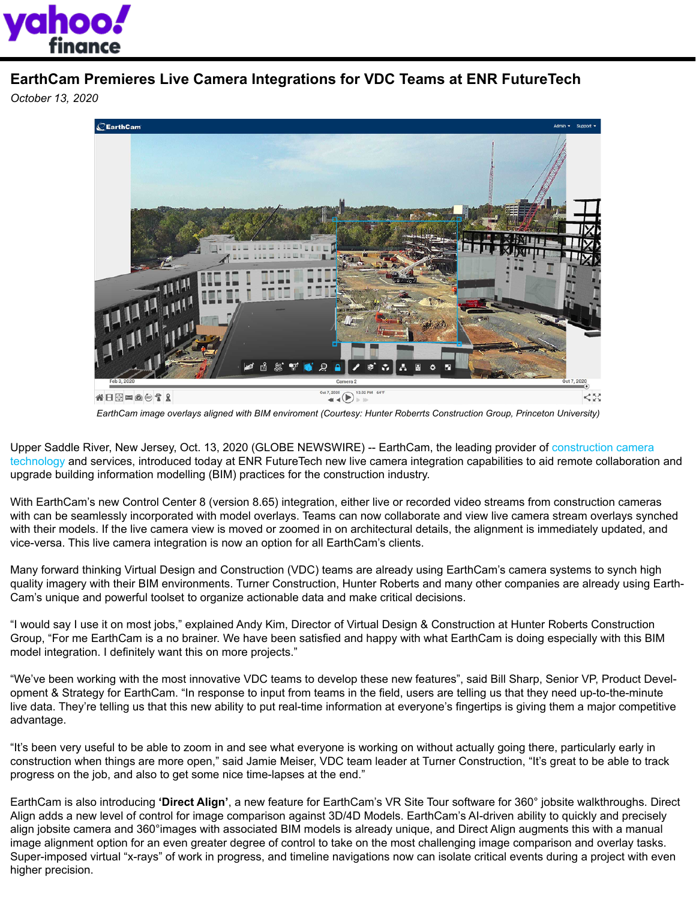

## **EarthCam Premieres Live Camera Integrations for VDC Teams at ENR FutureTech**

*October 13, 2020*



*[EarthCam image overlays aligned with BIM enviroment \(Courtesy: Hunter Roberrts Construction Group, Princeton University\)](https://www.earthcam.net/vdc/)*

Upper Saddle River, New Jersey, Oct. 13, 2020 (GLOBE NEWSWIRE) -- EarthCam, the leading provider of construction camera [technology](https://www.earthcam.net/products/) and services, introduced today at ENR FutureTech new live camera integration capabilities to aid remote collaboration and upgrade building information modelling (BIM) practices for the construction industry.

With EarthCam's new Control Center 8 (version 8.65) integration, either live or recorded video streams from construction cameras with can be seamlessly incorporated with model overlays. Teams can now collaborate and view live camera stream overlays synched with their models. If the live camera view is moved or zoomed in on architectural details, the alignment is immediately updated, and vice-versa. This live camera integration is now an option for all EarthCam's clients.

Many forward thinking Virtual Design and Construction (VDC) teams are already using EarthCam's camera systems to synch high quality imagery with their BIM environments. Turner Construction, Hunter Roberts and many other companies are already using Earth-Cam's unique and powerful toolset to organize actionable data and make critical decisions.

"I would say I use it on most jobs," explained Andy Kim, Director of Virtual Design & Construction at Hunter Roberts Construction Group, "For me EarthCam is a no brainer. We have been satisfied and happy with what EarthCam is doing especially with this BIM model integration. I definitely want this on more projects."

"We've been working with the most innovative VDC teams to develop these new features", said Bill Sharp, Senior VP, Product Development & Strategy for EarthCam. "In response to input from teams in the field, users are telling us that they need up-to-the-minute live data. They're telling us that this new ability to put real-time information at everyone's fingertips is giving them a major competitive advantage.

"It's been very useful to be able to zoom in and see what everyone is working on without actually going there, particularly early in construction when things are more open," said Jamie Meiser, VDC team leader at Turner Construction, "It's great to be able to track progress on the job, and also to get some nice time-lapses at the end."

EarthCam is also introducing **'Direct Align'**, a new feature for EarthCam's VR Site Tour software for 360° jobsite walkthroughs. Direct Align adds a new level of control for image comparison against 3D/4D Models. EarthCam's AI-driven ability to quickly and precisely align jobsite camera and 360°images with associated BIM models is already unique, and Direct Align augments this with a manual image alignment option for an even greater degree of control to take on the most challenging image comparison and overlay tasks. Super-imposed virtual "x-rays" of work in progress, and timeline navigations now can isolate critical events during a project with even higher precision.